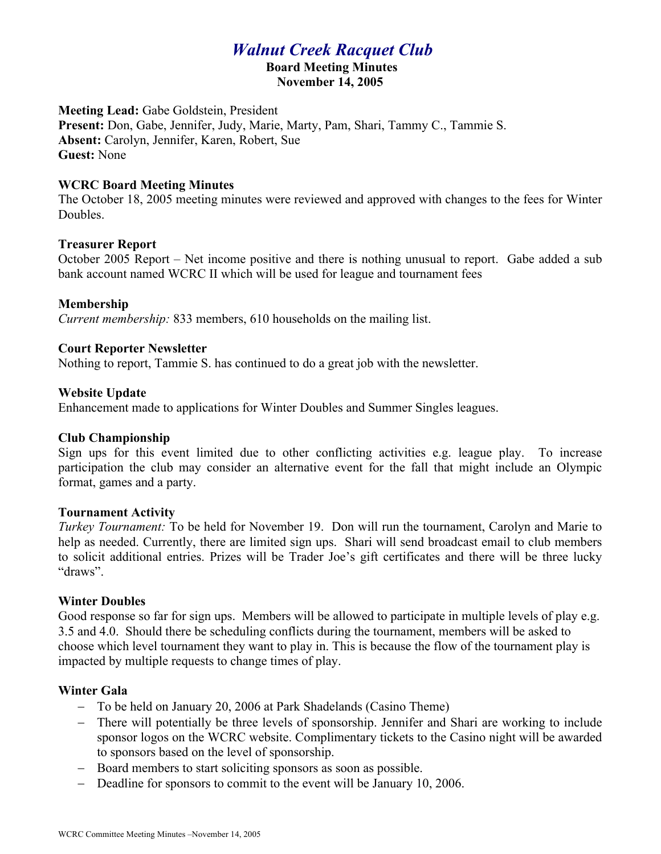# *Walnut Creek Racquet Club*

#### **Board Meeting Minutes November 14, 2005**

**Meeting Lead:** Gabe Goldstein, President **Present:** Don, Gabe, Jennifer, Judy, Marie, Marty, Pam, Shari, Tammy C., Tammie S. **Absent:** Carolyn, Jennifer, Karen, Robert, Sue **Guest:** None

### **WCRC Board Meeting Minutes**

The October 18, 2005 meeting minutes were reviewed and approved with changes to the fees for Winter Doubles.

## **Treasurer Report**

October 2005 Report – Net income positive and there is nothing unusual to report. Gabe added a sub bank account named WCRC II which will be used for league and tournament fees

## **Membership**

*Current membership:* 833 members, 610 households on the mailing list.

## **Court Reporter Newsletter**

Nothing to report, Tammie S. has continued to do a great job with the newsletter.

## **Website Update**

Enhancement made to applications for Winter Doubles and Summer Singles leagues.

#### **Club Championship**

Sign ups for this event limited due to other conflicting activities e.g. league play. To increase participation the club may consider an alternative event for the fall that might include an Olympic format, games and a party.

#### **Tournament Activity**

*Turkey Tournament:* To be held for November 19. Don will run the tournament, Carolyn and Marie to help as needed. Currently, there are limited sign ups. Shari will send broadcast email to club members to solicit additional entries. Prizes will be Trader Joe's gift certificates and there will be three lucky "draws".

#### **Winter Doubles**

Good response so far for sign ups. Members will be allowed to participate in multiple levels of play e.g. 3.5 and 4.0. Should there be scheduling conflicts during the tournament, members will be asked to choose which level tournament they want to play in. This is because the flow of the tournament play is impacted by multiple requests to change times of play.

## **Winter Gala**

- To be held on January 20, 2006 at Park Shadelands (Casino Theme)
- There will potentially be three levels of sponsorship. Jennifer and Shari are working to include sponsor logos on the WCRC website. Complimentary tickets to the Casino night will be awarded to sponsors based on the level of sponsorship.
- Board members to start soliciting sponsors as soon as possible.
- Deadline for sponsors to commit to the event will be January 10, 2006.